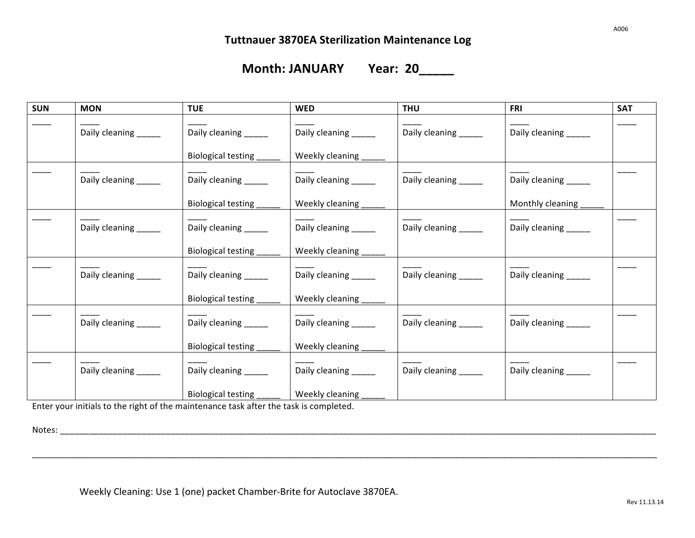<u> 1980 - Johann Barn, mars an t-Amerikaansk politiker (</u>

**Month: JANUARY Year: 20\_\_\_\_\_** 

| <b>SUN</b> | <b>MON</b>           | <b>TUE</b>                | <b>WED</b>           | <b>THU</b>           | FRI                  | <b>SAT</b> |
|------------|----------------------|---------------------------|----------------------|----------------------|----------------------|------------|
|            | Daily cleaning _____ | Daily cleaning _____      | Daily cleaning _____ | Daily cleaning ____  | Daily cleaning _____ |            |
|            |                      | Biological testing        | Weekly cleaning      |                      |                      |            |
|            | Daily cleaning _____ | Daily cleaning _____      | Daily cleaning _____ | Daily cleaning _____ | Daily cleaning _____ |            |
|            |                      | Biological testing        | Weekly cleaning      |                      | Monthly cleaning     |            |
|            | Daily cleaning _____ | Daily cleaning _____      | Daily cleaning _____ | Daily cleaning _____ | Daily cleaning _____ |            |
|            |                      | Biological testing        | Weekly cleaning      |                      |                      |            |
|            | Daily cleaning _____ | Daily cleaning _____      | Daily cleaning _____ | Daily cleaning _____ | Daily cleaning _____ |            |
|            |                      | Biological testing        | Weekly cleaning      |                      |                      |            |
|            | Daily cleaning _____ | Daily cleaning _____      | Daily cleaning _____ | Daily cleaning _____ | Daily cleaning _____ |            |
|            |                      | Biological testing        | Weekly cleaning      |                      |                      |            |
|            | Daily cleaning _____ | Daily cleaning _____      | Daily cleaning _____ | Daily cleaning _____ | Daily cleaning _____ |            |
|            |                      | <b>Biological testing</b> | Weekly cleaning      |                      |                      |            |

\_\_\_\_\_\_\_\_\_\_\_\_\_\_\_\_\_\_\_\_\_\_\_\_\_\_\_\_\_\_\_\_\_\_\_\_\_\_\_\_\_\_\_\_\_\_\_\_\_\_\_\_\_\_\_\_\_\_\_\_\_\_\_\_\_\_\_\_\_\_\_\_\_\_\_\_\_\_\_\_\_\_\_\_\_\_\_\_\_\_\_\_\_\_\_\_\_\_\_\_\_\_\_\_\_\_\_\_\_\_\_\_\_\_\_\_\_\_\_\_\_\_\_\_\_\_\_\_\_\_

Enter your initials to the right of the maintenance task after the task is completed.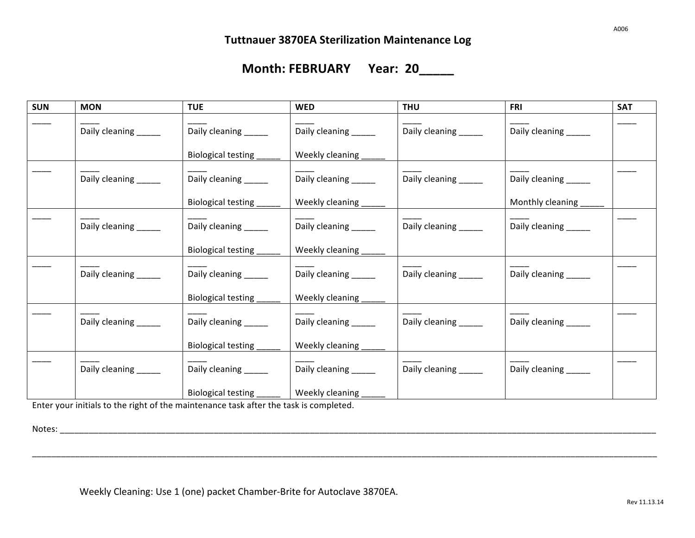**Month: FEBRUARY Year: 20\_\_\_\_\_** 

| <b>SUN</b> | <b>MON</b>           | <b>TUE</b>           | <b>WED</b>            | <b>THU</b>           | <b>FRI</b>            | <b>SAT</b> |
|------------|----------------------|----------------------|-----------------------|----------------------|-----------------------|------------|
|            | Daily cleaning _____ | Daily cleaning _____ | Daily cleaning _____  | Daily cleaning _____ | Daily cleaning ______ |            |
|            |                      | Biological testing   | Weekly cleaning       |                      |                       |            |
|            | Daily cleaning _____ | Daily cleaning _____ | Daily cleaning ______ | Daily cleaning _____ | Daily cleaning ______ |            |
|            |                      | Biological testing   | Weekly cleaning       |                      | Monthly cleaning      |            |
|            | Daily cleaning _____ | Daily cleaning _____ | Daily cleaning _____  | Daily cleaning _____ | Daily cleaning ______ |            |
|            |                      | Biological testing   | Weekly cleaning       |                      |                       |            |
|            | Daily cleaning _____ | Daily cleaning _____ | Daily cleaning _____  | Daily cleaning _____ | Daily cleaning _____  |            |
|            |                      | Biological testing   | Weekly cleaning       |                      |                       |            |
|            | Daily cleaning _____ | Daily cleaning _____ | Daily cleaning _____  | Daily cleaning _____ | Daily cleaning _____  |            |
|            |                      | Biological testing   | Weekly cleaning       |                      |                       |            |
|            | Daily cleaning _____ | Daily cleaning _____ | Daily cleaning _____  | Daily cleaning _____ | Daily cleaning _____  |            |
|            |                      | Biological testing   | Weekly cleaning       |                      |                       |            |

\_\_\_\_\_\_\_\_\_\_\_\_\_\_\_\_\_\_\_\_\_\_\_\_\_\_\_\_\_\_\_\_\_\_\_\_\_\_\_\_\_\_\_\_\_\_\_\_\_\_\_\_\_\_\_\_\_\_\_\_\_\_\_\_\_\_\_\_\_\_\_\_\_\_\_\_\_\_\_\_\_\_\_\_\_\_\_\_\_\_\_\_\_\_\_\_\_\_\_\_\_\_\_\_\_\_\_\_\_\_\_\_\_\_\_\_\_\_\_\_\_\_\_\_\_\_\_\_\_\_

Enter your initials to the right of the maintenance task after the task is completed.

Notes: \_\_\_\_\_\_\_\_\_\_\_\_\_\_\_\_\_\_\_\_\_\_\_\_\_\_\_\_\_\_\_\_\_\_\_\_\_\_\_\_\_\_\_\_\_\_\_\_\_\_\_\_\_\_\_\_\_\_\_\_\_\_\_\_\_\_\_\_\_\_\_\_\_\_\_\_\_\_\_\_\_\_\_\_\_\_\_\_\_\_\_\_\_\_\_\_\_\_\_\_\_\_\_\_\_\_\_\_\_\_\_\_\_\_\_\_\_\_\_\_\_\_\_\_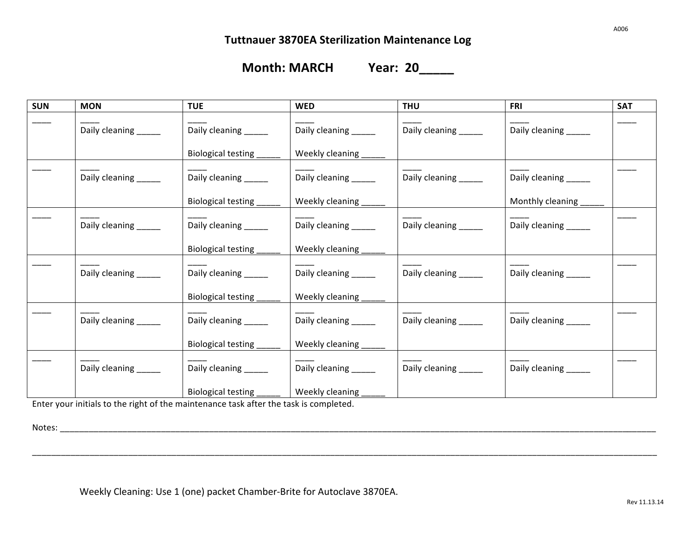**Month: MARCH Year: 20\_\_\_\_\_** 

| <b>SUN</b> | <b>MON</b>           | <b>TUE</b>           | <b>WED</b>           | <b>THU</b>            | <b>FRI</b>           | <b>SAT</b> |
|------------|----------------------|----------------------|----------------------|-----------------------|----------------------|------------|
|            | Daily cleaning _____ | Daily cleaning _____ | Daily cleaning _____ | Daily cleaning _____  | Daily cleaning _____ |            |
|            |                      | Biological testing   | Weekly cleaning      |                       |                      |            |
|            | Daily cleaning _____ | Daily cleaning _____ | Daily cleaning _____ | Daily cleaning _____  | Daily cleaning _____ |            |
|            |                      | Biological testing   | Weekly cleaning      |                       | Monthly cleaning     |            |
|            | Daily cleaning _____ | Daily cleaning _____ | Daily cleaning _____ | Daily cleaning _____  | Daily cleaning _____ |            |
|            |                      | Biological testing   | Weekly cleaning      |                       |                      |            |
|            | Daily cleaning _____ | Daily cleaning _____ | Daily cleaning _____ | Daily cleaning _____  | Daily cleaning _____ |            |
|            |                      | Biological testing   | Weekly cleaning      |                       |                      |            |
|            | Daily cleaning _____ | Daily cleaning _____ | Daily cleaning _____ | Daily cleaning _____  | Daily cleaning _____ |            |
|            |                      | Biological testing   | Weekly cleaning      |                       |                      |            |
|            | Daily cleaning _____ | Daily cleaning _____ | Daily cleaning _____ | Daily cleaning ______ | Daily cleaning _____ |            |
|            |                      | Biological testing   | Weekly cleaning      |                       |                      |            |

\_\_\_\_\_\_\_\_\_\_\_\_\_\_\_\_\_\_\_\_\_\_\_\_\_\_\_\_\_\_\_\_\_\_\_\_\_\_\_\_\_\_\_\_\_\_\_\_\_\_\_\_\_\_\_\_\_\_\_\_\_\_\_\_\_\_\_\_\_\_\_\_\_\_\_\_\_\_\_\_\_\_\_\_\_\_\_\_\_\_\_\_\_\_\_\_\_\_\_\_\_\_\_\_\_\_\_\_\_\_\_\_\_\_\_\_\_\_\_\_\_\_\_\_\_\_\_\_\_\_

Enter your initials to the right of the maintenance task after the task is completed.

Notes: \_\_\_\_\_\_\_\_\_\_\_\_\_\_\_\_\_\_\_\_\_\_\_\_\_\_\_\_\_\_\_\_\_\_\_\_\_\_\_\_\_\_\_\_\_\_\_\_\_\_\_\_\_\_\_\_\_\_\_\_\_\_\_\_\_\_\_\_\_\_\_\_\_\_\_\_\_\_\_\_\_\_\_\_\_\_\_\_\_\_\_\_\_\_\_\_\_\_\_\_\_\_\_\_\_\_\_\_\_\_\_\_\_\_\_\_\_\_\_\_\_\_\_\_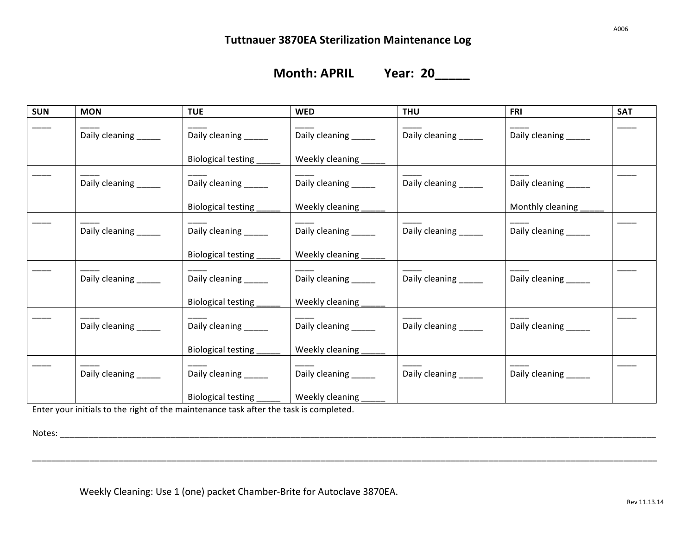**Month: APRIL Year: 20\_\_\_\_\_** 

| <b>SUN</b> | <b>MON</b>           | <b>TUE</b>            | <b>WED</b>           | <b>THU</b>            | <b>FRI</b>           | <b>SAT</b> |
|------------|----------------------|-----------------------|----------------------|-----------------------|----------------------|------------|
|            | Daily cleaning _____ | Daily cleaning _____  | Daily cleaning _____ | Daily cleaning _____  | Daily cleaning _____ |            |
|            |                      | Biological testing    | Weekly cleaning      |                       |                      |            |
|            | Daily cleaning _____ | Daily cleaning _____  | Daily cleaning _____ | Daily cleaning _____  | Daily cleaning _____ |            |
|            |                      | Biological testing    | Weekly cleaning      |                       | Monthly cleaning     |            |
|            | Daily cleaning _____ | Daily cleaning _____  | Daily cleaning _____ | Daily cleaning _____  | Daily cleaning _____ |            |
|            |                      | Biological testing    | Weekly cleaning      |                       |                      |            |
|            | Daily cleaning _____ | Daily cleaning ______ | Daily cleaning _____ | Daily cleaning _____  | Daily cleaning _____ |            |
|            |                      | Biological testing    | Weekly cleaning      |                       |                      |            |
|            | Daily cleaning _____ | Daily cleaning ______ | Daily cleaning _____ | Daily cleaning ______ | Daily cleaning _____ |            |
|            |                      | Biological testing    | Weekly cleaning      |                       |                      |            |
|            | Daily cleaning _____ | Daily cleaning ______ | Daily cleaning _____ | Daily cleaning ______ | Daily cleaning _____ |            |
|            |                      | Biological testing    | Weekly cleaning      |                       |                      |            |

\_\_\_\_\_\_\_\_\_\_\_\_\_\_\_\_\_\_\_\_\_\_\_\_\_\_\_\_\_\_\_\_\_\_\_\_\_\_\_\_\_\_\_\_\_\_\_\_\_\_\_\_\_\_\_\_\_\_\_\_\_\_\_\_\_\_\_\_\_\_\_\_\_\_\_\_\_\_\_\_\_\_\_\_\_\_\_\_\_\_\_\_\_\_\_\_\_\_\_\_\_\_\_\_\_\_\_\_\_\_\_\_\_\_\_\_\_\_\_\_\_\_\_\_\_\_\_\_\_\_

Enter your initials to the right of the maintenance task after the task is completed.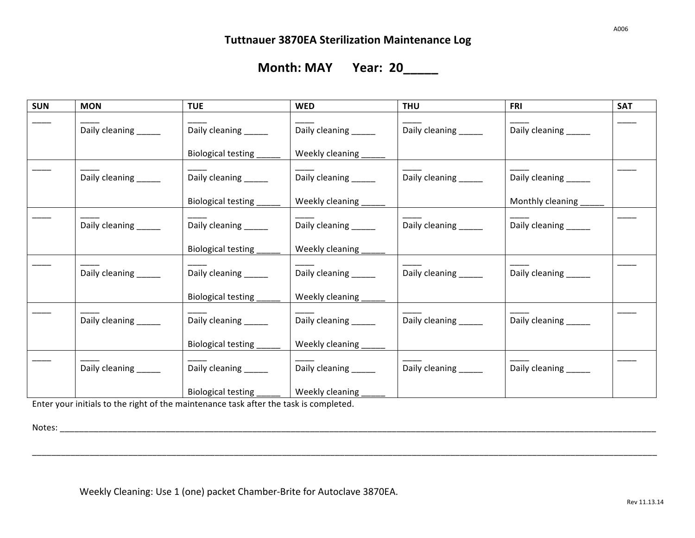**Month: MAY Year: 20\_\_\_\_\_** 

| <b>SUN</b> | <b>MON</b>           | <b>TUE</b>           | <b>WED</b>            | <b>THU</b>           | <b>FRI</b>           | <b>SAT</b> |
|------------|----------------------|----------------------|-----------------------|----------------------|----------------------|------------|
|            | Daily cleaning _____ | Daily cleaning _____ | Daily cleaning _____  | Daily cleaning _____ | Daily cleaning _____ |            |
|            |                      | Biological testing   | Weekly cleaning       |                      |                      |            |
|            | Daily cleaning _____ | Daily cleaning _____ | Daily cleaning _____  | Daily cleaning ____  | Daily cleaning _____ |            |
|            |                      | Biological testing   | Weekly cleaning       |                      | Monthly cleaning     |            |
|            | Daily cleaning _____ | Daily cleaning _____ | Daily cleaning ______ | Daily cleaning _____ | Daily cleaning _____ |            |
|            |                      | Biological testing   | Weekly cleaning       |                      |                      |            |
|            | Daily cleaning _____ | Daily cleaning _____ | Daily cleaning _____  | Daily cleaning _____ | Daily cleaning _____ |            |
|            |                      | Biological testing   | Weekly cleaning       |                      |                      |            |
|            | Daily cleaning _____ | Daily cleaning _____ | Daily cleaning _____  | Daily cleaning _____ | Daily cleaning _____ |            |
|            |                      | Biological testing   | Weekly cleaning       |                      |                      |            |
|            | Daily cleaning _____ | Daily cleaning _____ | Daily cleaning _____  | Daily cleaning _____ | Daily cleaning _____ |            |
|            |                      | Biological testing   | Weekly cleaning       |                      |                      |            |

\_\_\_\_\_\_\_\_\_\_\_\_\_\_\_\_\_\_\_\_\_\_\_\_\_\_\_\_\_\_\_\_\_\_\_\_\_\_\_\_\_\_\_\_\_\_\_\_\_\_\_\_\_\_\_\_\_\_\_\_\_\_\_\_\_\_\_\_\_\_\_\_\_\_\_\_\_\_\_\_\_\_\_\_\_\_\_\_\_\_\_\_\_\_\_\_\_\_\_\_\_\_\_\_\_\_\_\_\_\_\_\_\_\_\_\_\_\_\_\_\_\_\_\_\_\_\_\_\_\_

Enter your initials to the right of the maintenance task after the task is completed.

Notes: \_\_\_\_\_\_\_\_\_\_\_\_\_\_\_\_\_\_\_\_\_\_\_\_\_\_\_\_\_\_\_\_\_\_\_\_\_\_\_\_\_\_\_\_\_\_\_\_\_\_\_\_\_\_\_\_\_\_\_\_\_\_\_\_\_\_\_\_\_\_\_\_\_\_\_\_\_\_\_\_\_\_\_\_\_\_\_\_\_\_\_\_\_\_\_\_\_\_\_\_\_\_\_\_\_\_\_\_\_\_\_\_\_\_\_\_\_\_\_\_\_\_\_\_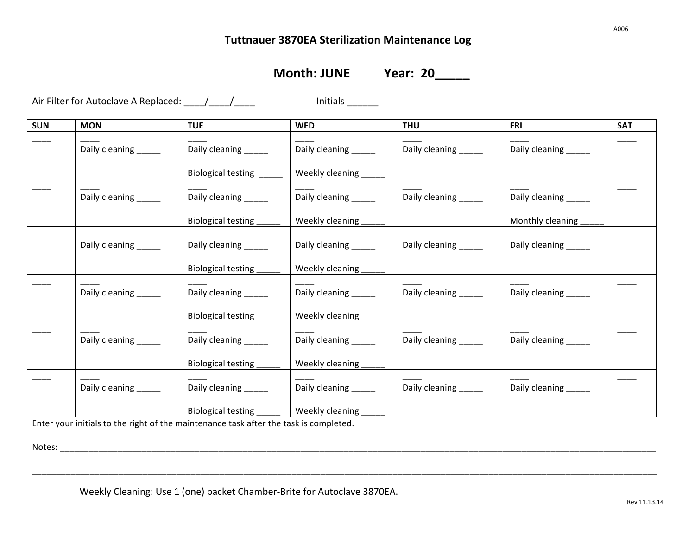**Month: JUNE Year: 20** 

Air Filter for Autoclave A Replaced: \_\_\_\_/\_\_\_\_/\_\_\_\_\_ Initials \_\_\_\_\_\_\_

| <b>SUN</b> | <b>MON</b>            | <b>TUE</b>                | <b>WED</b>            | <b>THU</b>            | <b>FRI</b>            | <b>SAT</b> |
|------------|-----------------------|---------------------------|-----------------------|-----------------------|-----------------------|------------|
|            | Daily cleaning _____  | Daily cleaning _____      | Daily cleaning _____  | Daily cleaning _____  | Daily cleaning _____  |            |
|            |                       | <b>Biological testing</b> | Weekly cleaning       |                       |                       |            |
|            | Daily cleaning ______ | Daily cleaning _____      | Daily cleaning _____  | Daily cleaning ______ | Daily cleaning _____  |            |
|            |                       | Biological testing        | Weekly cleaning       |                       | Monthly cleaning      |            |
|            | Daily cleaning _____  | Daily cleaning _____      | Daily cleaning ______ | Daily cleaning _____  | Daily cleaning _____  |            |
|            |                       | Biological testing        | Weekly cleaning       |                       |                       |            |
|            | Daily cleaning _____  | Daily cleaning _____      | Daily cleaning _____  | Daily cleaning _____  | Daily cleaning _____  |            |
|            |                       | Biological testing_       | Weekly cleaning       |                       |                       |            |
|            | Daily cleaning _____  | Daily cleaning _____      | Daily cleaning ______ | Daily cleaning ______ | Daily cleaning _____  |            |
|            |                       | Biological testing        | Weekly cleaning _     |                       |                       |            |
|            | Daily cleaning _____  | Daily cleaning _____      | Daily cleaning _____  | Daily cleaning _____  | Daily cleaning ______ |            |
|            |                       | Biological testing        | Weekly cleaning       |                       |                       |            |

\_\_\_\_\_\_\_\_\_\_\_\_\_\_\_\_\_\_\_\_\_\_\_\_\_\_\_\_\_\_\_\_\_\_\_\_\_\_\_\_\_\_\_\_\_\_\_\_\_\_\_\_\_\_\_\_\_\_\_\_\_\_\_\_\_\_\_\_\_\_\_\_\_\_\_\_\_\_\_\_\_\_\_\_\_\_\_\_\_\_\_\_\_\_\_\_\_\_\_\_\_\_\_\_\_\_\_\_\_\_\_\_\_\_\_\_\_\_\_\_\_\_\_\_\_\_\_\_\_\_

Enter your initials to the right of the maintenance task after the task is completed.

Notes: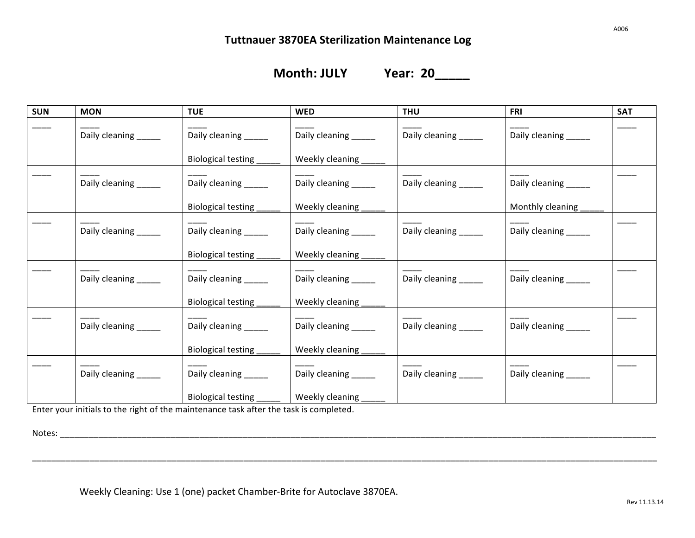**Month: JULY Year: 20\_\_\_\_\_** 

| <b>SUN</b> | <b>MON</b>           | <b>TUE</b>            | <b>WED</b>           | <b>THU</b>            | <b>FRI</b>           | <b>SAT</b> |
|------------|----------------------|-----------------------|----------------------|-----------------------|----------------------|------------|
|            | Daily cleaning _____ | Daily cleaning _____  | Daily cleaning _____ | Daily cleaning _____  | Daily cleaning _____ |            |
|            |                      | Biological testing    | Weekly cleaning      |                       |                      |            |
|            | Daily cleaning _____ | Daily cleaning _____  | Daily cleaning _____ | Daily cleaning _____  | Daily cleaning _____ |            |
|            |                      | Biological testing    | Weekly cleaning      |                       | Monthly cleaning     |            |
|            | Daily cleaning _____ | Daily cleaning _____  | Daily cleaning _____ | Daily cleaning _____  | Daily cleaning _____ |            |
|            |                      | Biological testing    | Weekly cleaning      |                       |                      |            |
|            | Daily cleaning _____ | Daily cleaning ______ | Daily cleaning _____ | Daily cleaning _____  | Daily cleaning _____ |            |
|            |                      | Biological testing    | Weekly cleaning      |                       |                      |            |
|            | Daily cleaning _____ | Daily cleaning ______ | Daily cleaning _____ | Daily cleaning ______ | Daily cleaning _____ |            |
|            |                      | Biological testing    | Weekly cleaning      |                       |                      |            |
|            | Daily cleaning _____ | Daily cleaning ______ | Daily cleaning _____ | Daily cleaning ______ | Daily cleaning _____ |            |
|            |                      | Biological testing    | Weekly cleaning      |                       |                      |            |

\_\_\_\_\_\_\_\_\_\_\_\_\_\_\_\_\_\_\_\_\_\_\_\_\_\_\_\_\_\_\_\_\_\_\_\_\_\_\_\_\_\_\_\_\_\_\_\_\_\_\_\_\_\_\_\_\_\_\_\_\_\_\_\_\_\_\_\_\_\_\_\_\_\_\_\_\_\_\_\_\_\_\_\_\_\_\_\_\_\_\_\_\_\_\_\_\_\_\_\_\_\_\_\_\_\_\_\_\_\_\_\_\_\_\_\_\_\_\_\_\_\_\_\_\_\_\_\_\_\_

Enter your initials to the right of the maintenance task after the task is completed.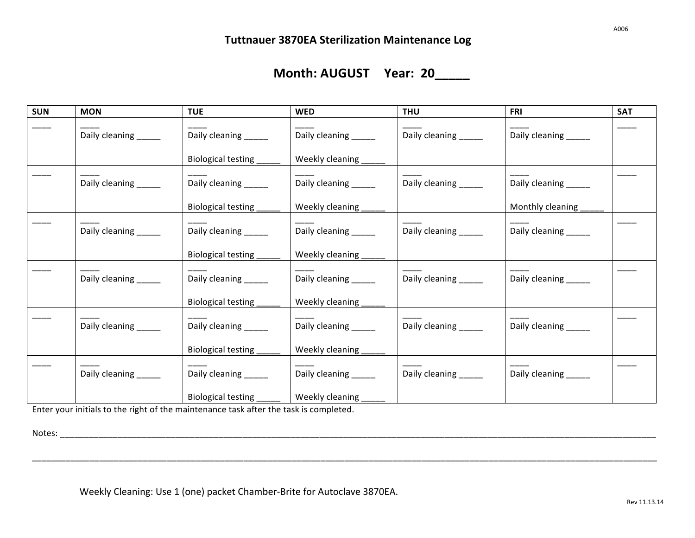# **Month: AUGUST** Year: 20

| <b>SUN</b> | <b>MON</b>           | <b>TUE</b>           | <b>WED</b>           | <b>THU</b>            | <b>FRI</b>           | <b>SAT</b> |
|------------|----------------------|----------------------|----------------------|-----------------------|----------------------|------------|
|            | Daily cleaning _____ | Daily cleaning _____ | Daily cleaning _____ | Daily cleaning _____  | Daily cleaning _____ |            |
|            |                      | Biological testing   | Weekly cleaning      |                       |                      |            |
|            | Daily cleaning _____ | Daily cleaning _____ | Daily cleaning _____ | Daily cleaning _____  | Daily cleaning _____ |            |
|            |                      | Biological testing   | Weekly cleaning      |                       | Monthly cleaning     |            |
|            | Daily cleaning _____ | Daily cleaning _____ | Daily cleaning _____ | Daily cleaning ______ | Daily cleaning _____ |            |
|            |                      | Biological testing   | Weekly cleaning      |                       |                      |            |
|            | Daily cleaning _____ | Daily cleaning _____ | Daily cleaning _____ | Daily cleaning ______ | Daily cleaning _____ |            |
|            |                      | Biological testing _ | Weekly cleaning      |                       |                      |            |
|            | Daily cleaning _____ | Daily cleaning _____ | Daily cleaning _____ | Daily cleaning _____  | Daily cleaning _____ |            |
|            |                      | Biological testing   | Weekly cleaning      |                       |                      |            |
|            | Daily cleaning _____ | Daily cleaning _____ | Daily cleaning _____ | Daily cleaning _____  | Daily cleaning _____ |            |
|            |                      | Biological testing   | Weekly cleaning      |                       |                      |            |

\_\_\_\_\_\_\_\_\_\_\_\_\_\_\_\_\_\_\_\_\_\_\_\_\_\_\_\_\_\_\_\_\_\_\_\_\_\_\_\_\_\_\_\_\_\_\_\_\_\_\_\_\_\_\_\_\_\_\_\_\_\_\_\_\_\_\_\_\_\_\_\_\_\_\_\_\_\_\_\_\_\_\_\_\_\_\_\_\_\_\_\_\_\_\_\_\_\_\_\_\_\_\_\_\_\_\_\_\_\_\_\_\_\_\_\_\_\_\_\_\_\_\_\_\_\_\_\_\_\_

Enter your initials to the right of the maintenance task after the task is completed.

Notes: \_\_\_\_\_\_\_\_\_\_\_\_\_\_\_\_\_\_\_\_\_\_\_\_\_\_\_\_\_\_\_\_\_\_\_\_\_\_\_\_\_\_\_\_\_\_\_\_\_\_\_\_\_\_\_\_\_\_\_\_\_\_\_\_\_\_\_\_\_\_\_\_\_\_\_\_\_\_\_\_\_\_\_\_\_\_\_\_\_\_\_\_\_\_\_\_\_\_\_\_\_\_\_\_\_\_\_\_\_\_\_\_\_\_\_\_\_\_\_\_\_\_\_\_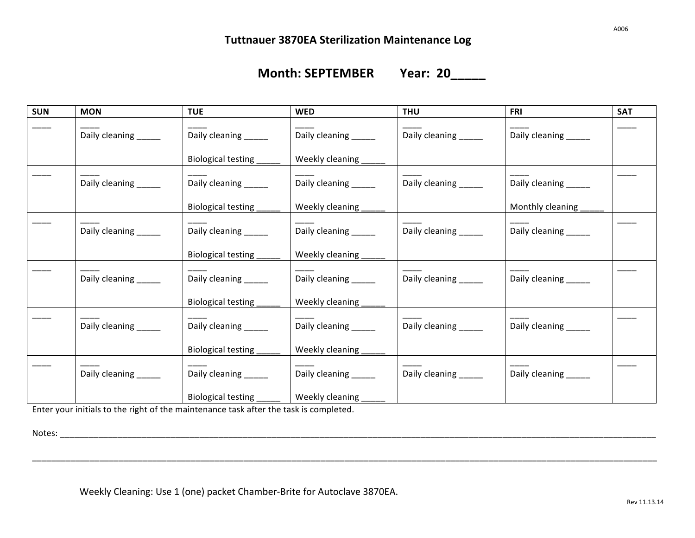# **Month: SEPTEMBER** Year: 20

| <b>SUN</b> | <b>MON</b>           | <b>TUE</b>            | <b>WED</b>           | <b>THU</b>            | FRI                   | <b>SAT</b> |
|------------|----------------------|-----------------------|----------------------|-----------------------|-----------------------|------------|
|            | Daily cleaning _____ | Daily cleaning _____  | Daily cleaning _____ | Daily cleaning _____  | Daily cleaning ______ |            |
|            |                      | Biological testing    | Weekly cleaning      |                       |                       |            |
|            | Daily cleaning ____  | Daily cleaning _____  | Daily cleaning ____  | Daily cleaning ______ | Daily cleaning _____  |            |
|            |                      | Biological testing    | Weekly cleaning      |                       | Monthly cleaning      |            |
|            | Daily cleaning ____  | Daily cleaning ______ | Daily cleaning _____ | Daily cleaning _____  | Daily cleaning _____  |            |
|            |                      | Biological testing    | Weekly cleaning      |                       |                       |            |
|            | Daily cleaning ____  | Daily cleaning ______ | Daily cleaning ____  | Daily cleaning ______ | Daily cleaning _____  |            |
|            |                      | Biological testing    | Weekly cleaning      |                       |                       |            |
|            | Daily cleaning ____  | Daily cleaning ______ | Daily cleaning _____ | Daily cleaning _____  | Daily cleaning _____  |            |
|            |                      | Biological testing    | Weekly cleaning      |                       |                       |            |
|            | Daily cleaning _____ | Daily cleaning _____  | Daily cleaning _____ | Daily cleaning _____  | Daily cleaning _____  |            |
|            |                      | Biological testing    | Weekly cleaning      |                       |                       |            |

\_\_\_\_\_\_\_\_\_\_\_\_\_\_\_\_\_\_\_\_\_\_\_\_\_\_\_\_\_\_\_\_\_\_\_\_\_\_\_\_\_\_\_\_\_\_\_\_\_\_\_\_\_\_\_\_\_\_\_\_\_\_\_\_\_\_\_\_\_\_\_\_\_\_\_\_\_\_\_\_\_\_\_\_\_\_\_\_\_\_\_\_\_\_\_\_\_\_\_\_\_\_\_\_\_\_\_\_\_\_\_\_\_\_\_\_\_\_\_\_\_\_\_\_\_\_\_\_\_\_

Enter your initials to the right of the maintenance task after the task is completed.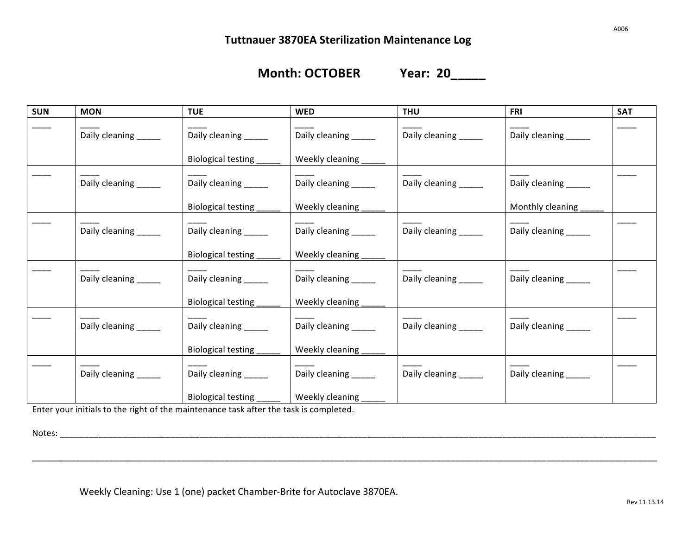# **Month: OCTOBER Year: 20\_\_\_\_\_**

| <b>SUN</b> | <b>MON</b>           | <b>TUE</b>            | <b>WED</b>            | <b>THU</b>            | <b>FRI</b>           | <b>SAT</b> |
|------------|----------------------|-----------------------|-----------------------|-----------------------|----------------------|------------|
|            | Daily cleaning _____ | Daily cleaning _____  | Daily cleaning ______ | Daily cleaning _____  | Daily cleaning _____ |            |
|            |                      | Biological testing    | Weekly cleaning       |                       |                      |            |
|            | Daily cleaning _____ | Daily cleaning _____  | Daily cleaning _____  | Daily cleaning ______ | Daily cleaning _____ |            |
|            |                      | Biological testing    | Weekly cleaning       |                       | Monthly cleaning     |            |
|            | Daily cleaning _____ | Daily cleaning _____  | Daily cleaning _____  | Daily cleaning _____  | Daily cleaning _____ |            |
|            |                      | Biological testing    | Weekly cleaning       |                       |                      |            |
|            | Daily cleaning _____ | Daily cleaning ______ | Daily cleaning ____   | Daily cleaning _____  | Daily cleaning _____ |            |
|            |                      | Biological testing    | Weekly cleaning       |                       |                      |            |
|            | Daily cleaning _____ | Daily cleaning ______ | Daily cleaning        | Daily cleaning ______ | Daily cleaning _____ |            |
|            |                      | Biological testing    | Weekly cleaning       |                       |                      |            |
|            | Daily cleaning _____ | Daily cleaning _____  | Daily cleaning _____  | Daily cleaning ______ | Daily cleaning _____ |            |
|            |                      | Biological testing    | Weekly cleaning       |                       |                      |            |

\_\_\_\_\_\_\_\_\_\_\_\_\_\_\_\_\_\_\_\_\_\_\_\_\_\_\_\_\_\_\_\_\_\_\_\_\_\_\_\_\_\_\_\_\_\_\_\_\_\_\_\_\_\_\_\_\_\_\_\_\_\_\_\_\_\_\_\_\_\_\_\_\_\_\_\_\_\_\_\_\_\_\_\_\_\_\_\_\_\_\_\_\_\_\_\_\_\_\_\_\_\_\_\_\_\_\_\_\_\_\_\_\_\_\_\_\_\_\_\_\_\_\_\_\_\_\_\_\_\_

Enter your initials to the right of the maintenance task after the task is completed.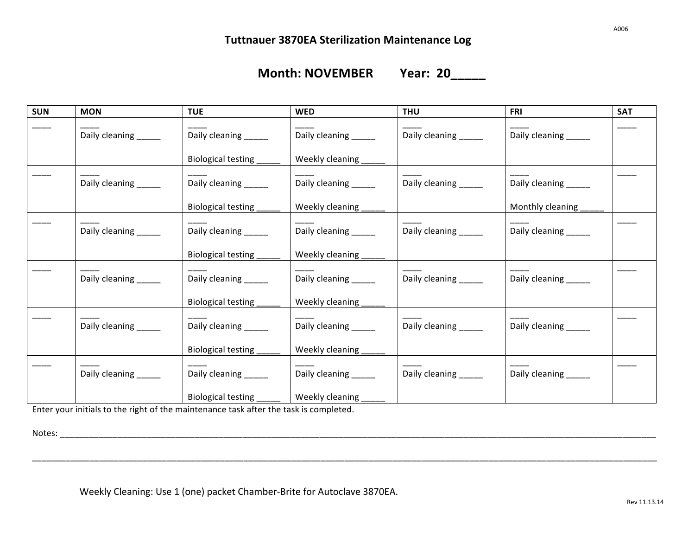# **Month: NOVEMBER** Year: 20

| <b>SUN</b> | <b>MON</b>           | <b>TUE</b>            | <b>WED</b>           | <b>THU</b>            | FRI                   | <b>SAT</b> |
|------------|----------------------|-----------------------|----------------------|-----------------------|-----------------------|------------|
|            | Daily cleaning _____ | Daily cleaning _____  | Daily cleaning _____ | Daily cleaning _____  | Daily cleaning ______ |            |
|            |                      | Biological testing    | Weekly cleaning _    |                       |                       |            |
|            | Daily cleaning _____ | Daily cleaning _____  | Daily cleaning _____ | Daily cleaning ______ | Daily cleaning _____  |            |
|            |                      | Biological testing    | Weekly cleaning      |                       | Monthly cleaning      |            |
|            | Daily cleaning _____ | Daily cleaning _____  | Daily cleaning ____  | Daily cleaning _____  | Daily cleaning _____  |            |
|            |                      | Biological testing    | Weekly cleaning      |                       |                       |            |
|            | Daily cleaning _____ | Daily cleaning ______ | Daily cleaning _____ | Daily cleaning ______ | Daily cleaning _____  |            |
|            |                      | Biological testing    | Weekly cleaning      |                       |                       |            |
|            | Daily cleaning _____ | Daily cleaning ______ | Daily cleaning _____ | Daily cleaning ______ | Daily cleaning _____  |            |
|            |                      | Biological testing    | Weekly cleaning      |                       |                       |            |
|            | Daily cleaning _____ | Daily cleaning _____  | Daily cleaning _____ | Daily cleaning _____  | Daily cleaning _____  |            |
|            |                      | Biological testing    | Weekly cleaning      |                       |                       |            |

\_\_\_\_\_\_\_\_\_\_\_\_\_\_\_\_\_\_\_\_\_\_\_\_\_\_\_\_\_\_\_\_\_\_\_\_\_\_\_\_\_\_\_\_\_\_\_\_\_\_\_\_\_\_\_\_\_\_\_\_\_\_\_\_\_\_\_\_\_\_\_\_\_\_\_\_\_\_\_\_\_\_\_\_\_\_\_\_\_\_\_\_\_\_\_\_\_\_\_\_\_\_\_\_\_\_\_\_\_\_\_\_\_\_\_\_\_\_\_\_\_\_\_\_\_\_\_\_\_\_

Enter your initials to the right of the maintenance task after the task is completed.

Notes: \_\_\_\_\_\_\_\_\_\_\_\_\_\_\_\_\_\_\_\_\_\_\_\_\_\_\_\_\_\_\_\_\_\_\_\_\_\_\_\_\_\_\_\_\_\_\_\_\_\_\_\_\_\_\_\_\_\_\_\_\_\_\_\_\_\_\_\_\_\_\_\_\_\_\_\_\_\_\_\_\_\_\_\_\_\_\_\_\_\_\_\_\_\_\_\_\_\_\_\_\_\_\_\_\_\_\_\_\_\_\_\_\_\_\_\_\_\_\_\_\_\_\_\_